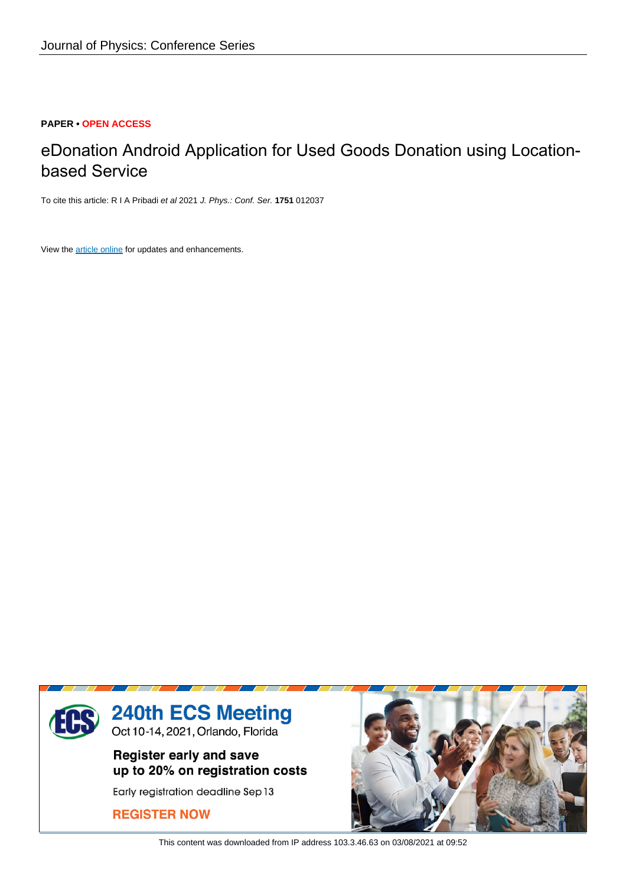# **PAPER • OPEN ACCESS**

# eDonation Android Application for Used Goods Donation using Locationbased Service

To cite this article: R I A Pribadi et al 2021 J. Phys.: Conf. Ser. **1751** 012037

View the [article online](https://doi.org/10.1088/1742-6596/1751/1/012037) for updates and enhancements.



This content was downloaded from IP address 103.3.46.63 on 03/08/2021 at 09:52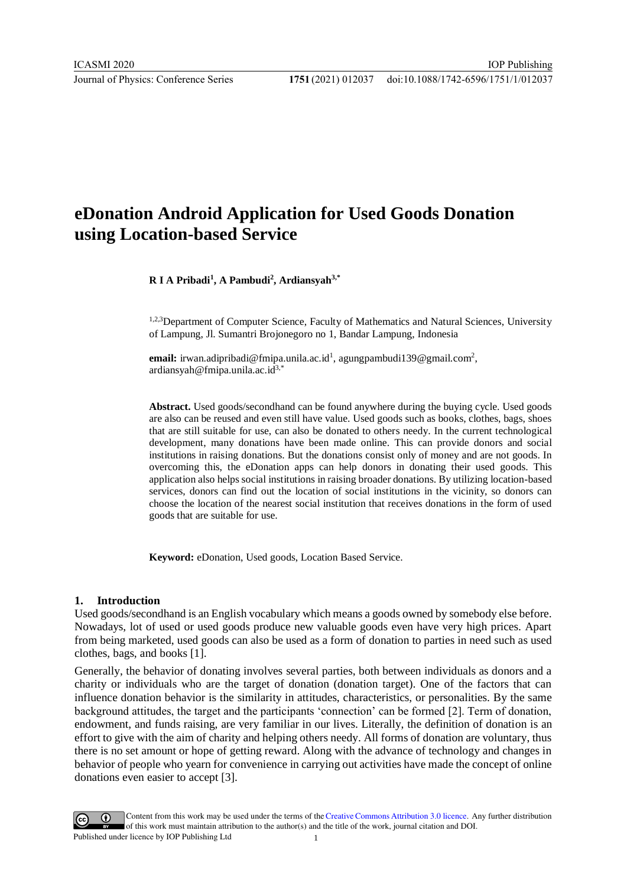# **eDonation Android Application for Used Goods Donation using Location-based Service**

**R I A Pribadi<sup>1</sup> , A Pambudi<sup>2</sup> , Ardiansyah3,\***

1,2,3Department of Computer Science, Faculty of Mathematics and Natural Sciences, University of Lampung, Jl. Sumantri Brojonegoro no 1, Bandar Lampung, Indonesia

email: irwan.adipribadi@fmipa.unila.ac.id<sup>1</sup>, agungpambudi139@gmail.com<sup>2</sup>, ardiansyah@fmipa.unila.ac.id3,\*

**Abstract.** Used goods/secondhand can be found anywhere during the buying cycle. Used goods are also can be reused and even still have value. Used goods such as books, clothes, bags, shoes that are still suitable for use, can also be donated to others needy. In the current technological development, many donations have been made online. This can provide donors and social institutions in raising donations. But the donations consist only of money and are not goods. In overcoming this, the eDonation apps can help donors in donating their used goods. This application also helps social institutions in raising broader donations. By utilizing location-based services, donors can find out the location of social institutions in the vicinity, so donors can choose the location of the nearest social institution that receives donations in the form of used goods that are suitable for use.

**Keyword:** eDonation, Used goods, Location Based Service.

## **1. Introduction**

Used goods/secondhand is an English vocabulary which means a goods owned by somebody else before. Nowadays, lot of used or used goods produce new valuable goods even have very high prices. Apart from being marketed, used goods can also be used as a form of donation to parties in need such as used clothes, bags, and books [1].

Generally, the behavior of donating involves several parties, both between individuals as donors and a charity or individuals who are the target of donation (donation target). One of the factors that can influence donation behavior is the similarity in attitudes, characteristics, or personalities. By the same background attitudes, the target and the participants 'connection' can be formed [2]. Term of donation, endowment, and funds raising, are very familiar in our lives. Literally, the definition of donation is an effort to give with the aim of charity and helping others needy. All forms of donation are voluntary, thus there is no set amount or hope of getting reward. Along with the advance of technology and changes in behavior of people who yearn for convenience in carrying out activities have made the concept of online donations even easier to accept [3].



Content from this work may be used under the terms of the Creative Commons Attribution 3.0 licence. Any further distribution of this work must maintain attribution to the author(s) and the title of the work, journal citation and DOI. Published under licence by IOP Publishing Ltd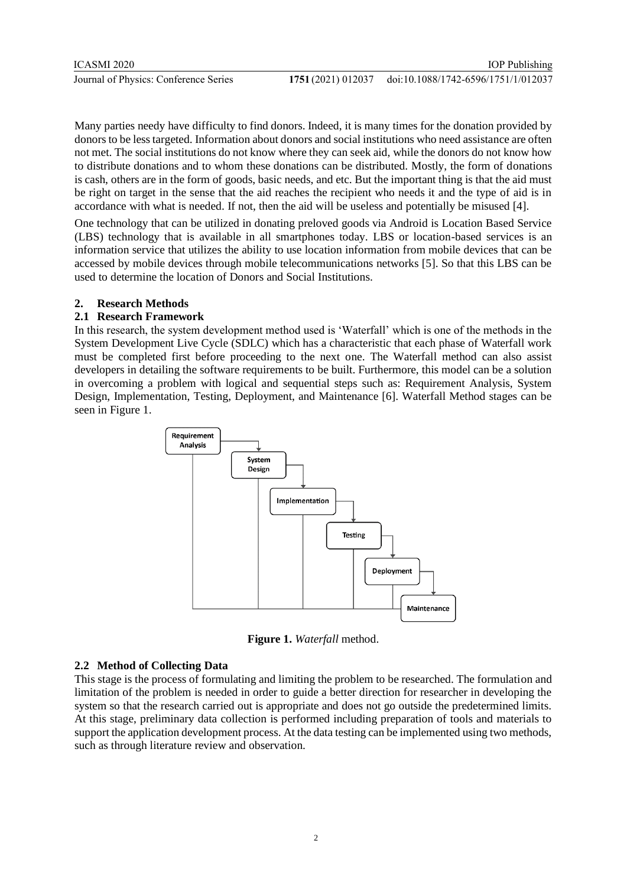Many parties needy have difficulty to find donors. Indeed, it is many times for the donation provided by donors to be less targeted. Information about donors and social institutions who need assistance are often not met. The social institutions do not know where they can seek aid, while the donors do not know how to distribute donations and to whom these donations can be distributed. Mostly, the form of donations is cash, others are in the form of goods, basic needs, and etc. But the important thing is that the aid must be right on target in the sense that the aid reaches the recipient who needs it and the type of aid is in accordance with what is needed. If not, then the aid will be useless and potentially be misused [4].

One technology that can be utilized in donating preloved goods via Android is Location Based Service (LBS) technology that is available in all smartphones today. LBS or location-based services is an information service that utilizes the ability to use location information from mobile devices that can be accessed by mobile devices through mobile telecommunications networks [5]. So that this LBS can be used to determine the location of Donors and Social Institutions.

## **2. Research Methods**

# **2.1 Research Framework**

In this research, the system development method used is 'Waterfall' which is one of the methods in the System Development Live Cycle (SDLC) which has a characteristic that each phase of Waterfall work must be completed first before proceeding to the next one. The Waterfall method can also assist developers in detailing the software requirements to be built. Furthermore, this model can be a solution in overcoming a problem with logical and sequential steps such as: Requirement Analysis, System Design, Implementation, Testing, Deployment, and Maintenance [6]. Waterfall Method stages can be seen in Figure 1.



**Figure 1.** *Waterfall* method.

## **2.2 Method of Collecting Data**

This stage is the process of formulating and limiting the problem to be researched. The formulation and limitation of the problem is needed in order to guide a better direction for researcher in developing the system so that the research carried out is appropriate and does not go outside the predetermined limits. At this stage, preliminary data collection is performed including preparation of tools and materials to support the application development process. At the data testing can be implemented using two methods, such as through literature review and observation.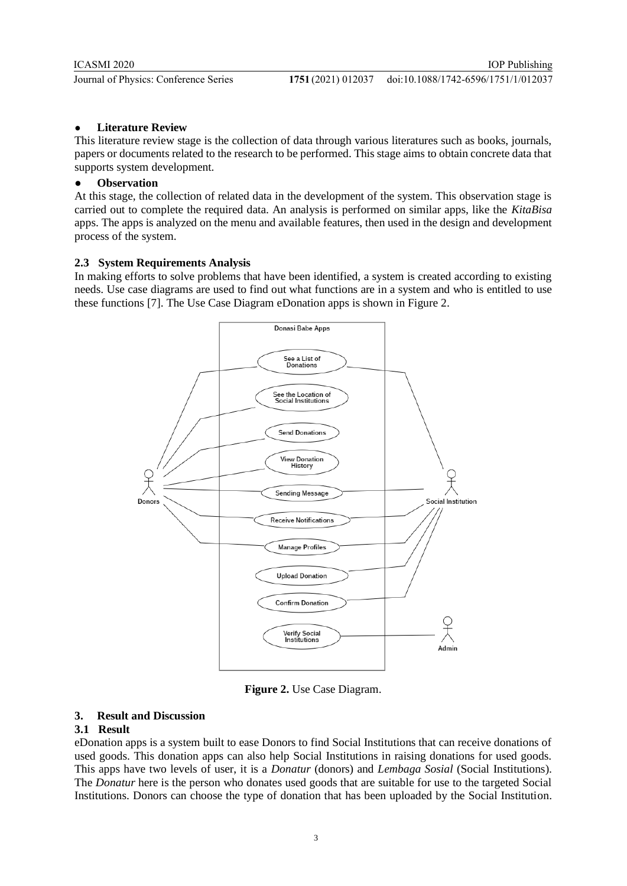# ● **Literature Review**

This literature review stage is the collection of data through various literatures such as books, journals, papers or documents related to the research to be performed. This stage aims to obtain concrete data that supports system development.

## ● **Observation**

At this stage, the collection of related data in the development of the system. This observation stage is carried out to complete the required data. An analysis is performed on similar apps, like the *KitaBisa* apps. The apps is analyzed on the menu and available features, then used in the design and development process of the system.

# **2.3 System Requirements Analysis**

In making efforts to solve problems that have been identified, a system is created according to existing needs. Use case diagrams are used to find out what functions are in a system and who is entitled to use these functions [7]. The Use Case Diagram eDonation apps is shown in Figure 2.



**Figure 2.** Use Case Diagram.

# **3. Result and Discussion**

## **3.1 Result**

eDonation apps is a system built to ease Donors to find Social Institutions that can receive donations of used goods. This donation apps can also help Social Institutions in raising donations for used goods. This apps have two levels of user, it is a *Donatur* (donors) and *Lembaga Sosial* (Social Institutions). The *Donatur* here is the person who donates used goods that are suitable for use to the targeted Social Institutions. Donors can choose the type of donation that has been uploaded by the Social Institution.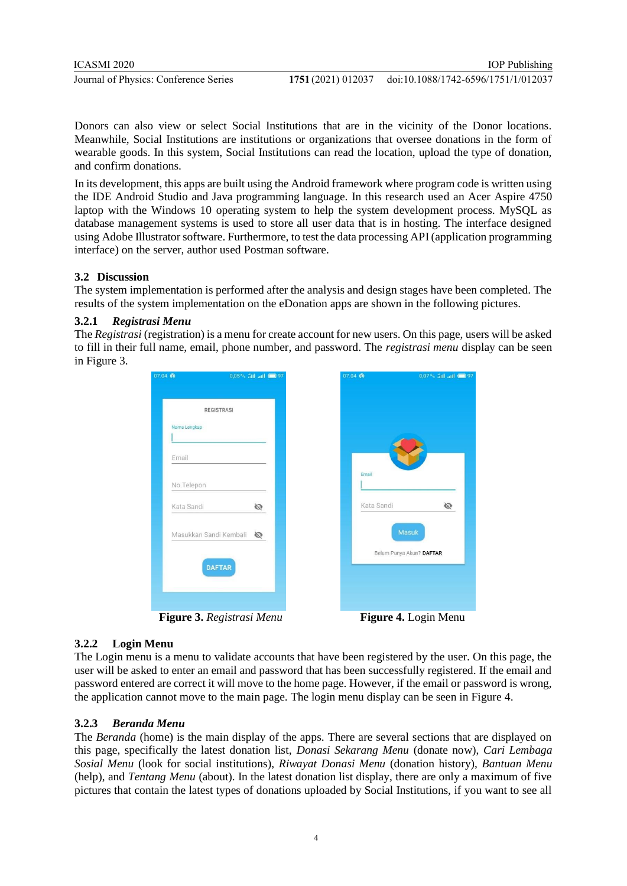Donors can also view or select Social Institutions that are in the vicinity of the Donor locations. Meanwhile, Social Institutions are institutions or organizations that oversee donations in the form of wearable goods. In this system, Social Institutions can read the location, upload the type of donation, and confirm donations.

In its development, this apps are built using the Android framework where program code is written using the IDE Android Studio and Java programming language. In this research used an Acer Aspire 4750 laptop with the Windows 10 operating system to help the system development process. MySQL as database management systems is used to store all user data that is in hosting. The interface designed using Adobe Illustrator software. Furthermore, to test the data processing API (application programming interface) on the server, author used Postman software.

# **3.2 Discussion**

The system implementation is performed after the analysis and design stages have been completed. The results of the system implementation on the eDonation apps are shown in the following pictures.

# **3.2.1** *Registrasi Menu*

The *Registrasi* (registration) is a menu for create account for new users. On this page, users will be asked to fill in their full name, email, phone number, and password. The *registrasi menu* display can be seen in Figure 3.

| <b>REGISTRASI</b>      |   |               |
|------------------------|---|---------------|
| Nama Lengkap           |   |               |
| Email                  |   |               |
| No.Telepon             |   | Email         |
| Kata Sandi             | Ø | Kata Sandi    |
| Masukkan Sandi Kembali | Ø |               |
| <b>DAFTAR</b>          |   | Belum Punya / |

**Figure 3.** *Registrasi Menu* **Figure 4.** Login Menu

kun? DAFTAR

 $\sigma$ 

# **3.2.2 Login Menu**

The Login menu is a menu to validate accounts that have been registered by the user. On this page, the user will be asked to enter an email and password that has been successfully registered. If the email and password entered are correct it will move to the home page. However, if the email or password is wrong, the application cannot move to the main page. The login menu display can be seen in Figure 4.

# **3.2.3** *Beranda Menu*

The *Beranda* (home) is the main display of the apps. There are several sections that are displayed on this page, specifically the latest donation list, *Donasi Sekarang Menu* (donate now), *Cari Lembaga Sosial Menu* (look for social institutions), *Riwayat Donasi Menu* (donation history), *Bantuan Menu* (help), and *Tentang Menu* (about). In the latest donation list display, there are only a maximum of five pictures that contain the latest types of donations uploaded by Social Institutions, if you want to see all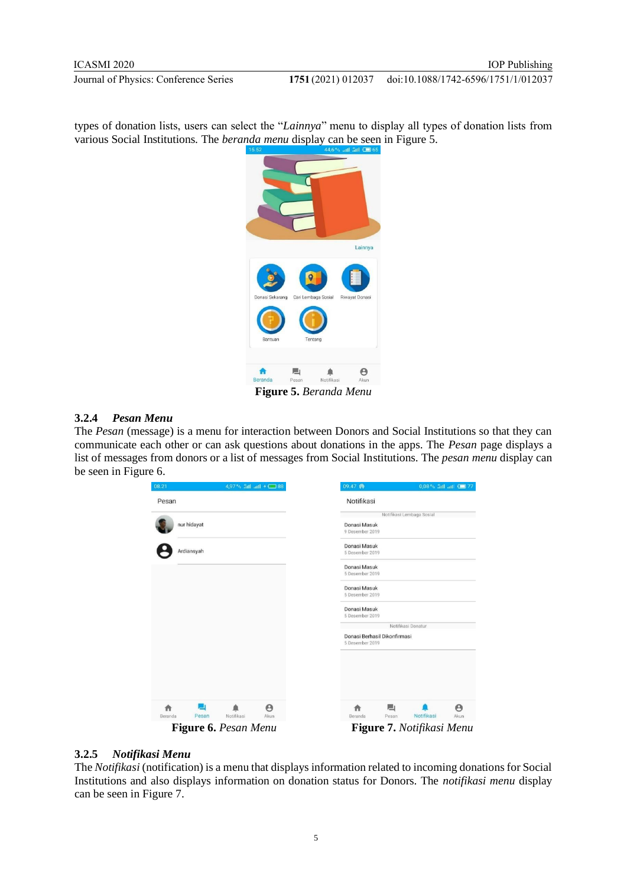doi:10.1088/1742-6596/1751/1/012037

types of donation lists, users can select the "*Lainnya*" menu to display all types of donation lists from various Social Institutions. The *beranda menu* display can be seen in Figure 5.



**Figure 5.** *Beranda Menu*

#### **3.2.4** *Pesan Menu*

The *Pesan* (message) is a menu for interaction between Donors and Social Institutions so that they can communicate each other or can ask questions about donations in the apps. The *Pesan* page displays a list of messages from donors or a list of messages from Social Institutions. The *pesan menu* display can be seen in Figure 6.

| 08.21            | 4,97 % and at 1 + 38 |                              | 09.47 ®                         | 0,08% 5til atl C 77       |
|------------------|----------------------|------------------------------|---------------------------------|---------------------------|
| Pesan            |                      |                              | Notifikasi                      |                           |
|                  |                      |                              |                                 | Notifikasi Lembaga Sosial |
| nur hidayat      |                      |                              | Donasi Masuk<br>9 Desember 2019 |                           |
| Ardiansyah       |                      |                              | Donasi Masuk                    |                           |
|                  |                      | 5 Desember 2019              |                                 |                           |
|                  |                      |                              | Donasi Masuk                    |                           |
|                  |                      |                              | 5 Desember 2019                 |                           |
|                  |                      |                              | Donasi Masuk                    |                           |
|                  |                      |                              | 5 Desember 2019                 |                           |
|                  |                      |                              | Donasi Masuk                    |                           |
|                  |                      |                              | 5 Desember 2019                 |                           |
|                  |                      |                              |                                 | Notifikasi Donatur        |
|                  |                      | Donasi Berhasil Dikonfirmasi |                                 |                           |
|                  |                      |                              | 5 Desember 2019                 |                           |
|                  |                      |                              |                                 |                           |
|                  |                      |                              |                                 |                           |
|                  |                      |                              |                                 |                           |
|                  |                      |                              |                                 |                           |
| 凵<br>A           |                      | Θ                            | 圖」<br>A                         | $\boldsymbol{\Theta}$     |
| Pesan<br>Beranda | Notifikasi           | <b>Akun</b>                  | Beranda<br>Pesan                | Notifikasi<br>Akun        |
|                  | Figure 6. Pesan Menu |                              |                                 | Figure 7. Notifikasi Menu |

#### **3.2.5** *Notifikasi Menu*

The *Notifikasi* (notification) is a menu that displays information related to incoming donations for Social Institutions and also displays information on donation status for Donors. The *notifikasi menu* display can be seen in Figure 7.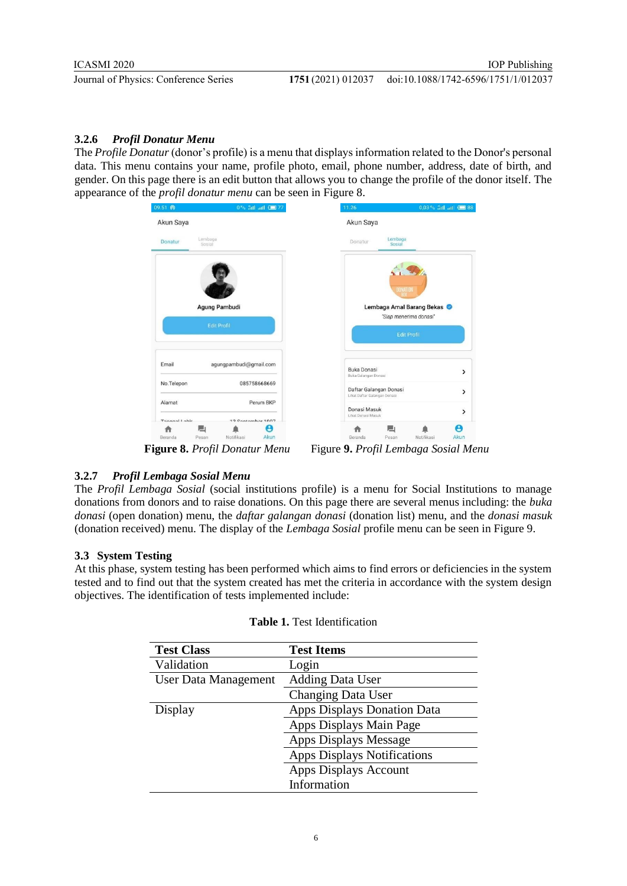# **3.2.6** *Profil Donatur Menu*

The *Profile Donatur* (donor's profile) is a menu that displays information related to the Donor's personal data. This menu contains your name, profile photo, email, phone number, address, date of birth, and gender. On this page there is an edit button that allows you to change the profile of the donor itself. The appearance of the *profil donatur menu* can be seen in Figure 8.

| 09.51 @                             | 0% 5til atl CD 77           | 11.26                                      | 0,03% atl atl 38          |
|-------------------------------------|-----------------------------|--------------------------------------------|---------------------------|
| Akun Saya                           |                             | Akun Saya                                  |                           |
| Donatur                             | Lembaga<br>Sosial           | Lembaga<br>Donatur<br>Sosial               |                           |
|                                     |                             | <b>DONATION</b>                            | Lembaga Amal Barang Bekas |
| Agung Pambudi<br><b>Edit Profil</b> |                             |                                            | "Siap menerima donasi"    |
|                                     |                             |                                            | <b>Edit Profil</b>        |
| Email                               | agungpambudi@gmail.com      | <b>Buka Donasi</b><br>Buka Galangan Donasi | $\mathcal{P}$             |
| No.Telepon                          | 085758668669                | Daftar Galangan Donasi                     | $\mathcal{P}$             |
| Alamat                              | Perum BKP                   | Lihat Daftar Galangan Donasi               |                           |
| Tonnand Lohir                       | 12 Contambor 1007           | Donasi Masuk<br>Lihat Donasi Masuk         | $\,$                      |
| Beranda                             | Akun<br>Notifikasi<br>Pesan | 戶<br>Beranda<br>Pesan                      | Я<br>Notifikasi<br>Akun   |

**Figure 8.** *Profil Donatur Menu* Figure **9.** *Profil Lembaga Sosial Menu*

# **3.2.7** *Profil Lembaga Sosial Menu*

The *Profil Lembaga Sosial* (social institutions profile) is a menu for Social Institutions to manage donations from donors and to raise donations. On this page there are several menus including: the *buka donasi* (open donation) menu, the *daftar galangan donasi* (donation list) menu, and the *donasi masuk*  (donation received) menu. The display of the *Lembaga Sosial* profile menu can be seen in Figure 9.

# **3.3 System Testing**

At this phase, system testing has been performed which aims to find errors or deficiencies in the system tested and to find out that the system created has met the criteria in accordance with the system design objectives. The identification of tests implemented include:

| <b>Test Class</b>           | <b>Test Items</b>                  |
|-----------------------------|------------------------------------|
| Validation                  | Login                              |
| <b>User Data Management</b> | <b>Adding Data User</b>            |
|                             | <b>Changing Data User</b>          |
| Display                     | <b>Apps Displays Donation Data</b> |
|                             | Apps Displays Main Page            |
|                             | <b>Apps Displays Message</b>       |
|                             | <b>Apps Displays Notifications</b> |
|                             | Apps Displays Account              |
|                             | Information                        |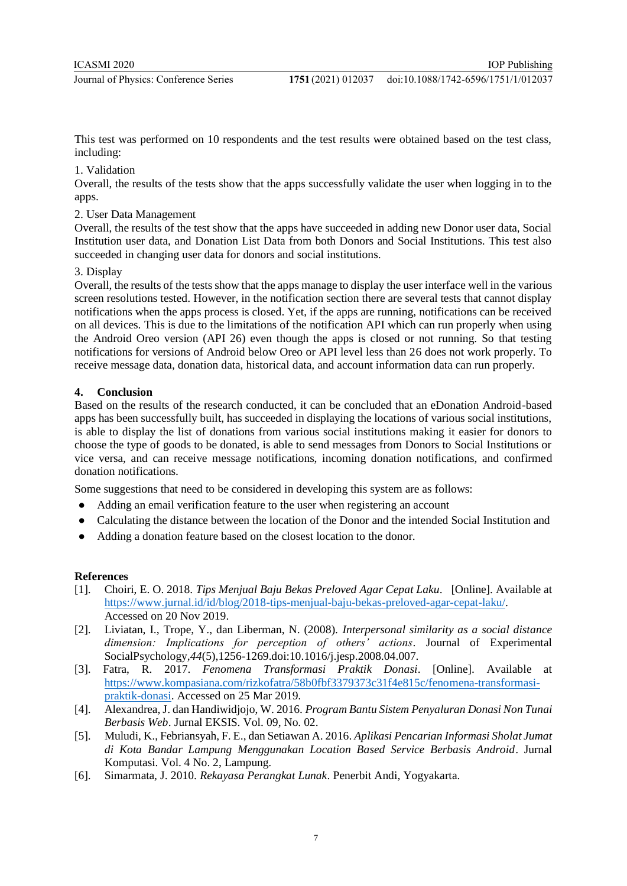This test was performed on 10 respondents and the test results were obtained based on the test class, including:

#### 1. Validation

Overall, the results of the tests show that the apps successfully validate the user when logging in to the apps.

### 2. User Data Management

Overall, the results of the test show that the apps have succeeded in adding new Donor user data, Social Institution user data, and Donation List Data from both Donors and Social Institutions. This test also succeeded in changing user data for donors and social institutions.

#### 3. Display

Overall, the results of the tests show that the apps manage to display the user interface well in the various screen resolutions tested. However, in the notification section there are several tests that cannot display notifications when the apps process is closed. Yet, if the apps are running, notifications can be received on all devices. This is due to the limitations of the notification API which can run properly when using the Android Oreo version (API 26) even though the apps is closed or not running. So that testing notifications for versions of Android below Oreo or API level less than 26 does not work properly. To receive message data, donation data, historical data, and account information data can run properly.

#### **4. Conclusion**

Based on the results of the research conducted, it can be concluded that an eDonation Android-based apps has been successfully built, has succeeded in displaying the locations of various social institutions, is able to display the list of donations from various social institutions making it easier for donors to choose the type of goods to be donated, is able to send messages from Donors to Social Institutions or vice versa, and can receive message notifications, incoming donation notifications, and confirmed donation notifications.

Some suggestions that need to be considered in developing this system are as follows:

- Adding an email verification feature to the user when registering an account
- Calculating the distance between the location of the Donor and the intended Social Institution and
- Adding a donation feature based on the closest location to the donor.

#### **References**

- [1]. Choiri, E. O. 2018. *Tips Menjual Baju Bekas Preloved Agar Cepat Laku*. [Online]. Available at [https://www.jurnal.id/id/blog/2018-tips-menjual-baju-bekas-preloved-agar-cepat-laku/.](https://www.jurnal.id/id/blog/2018-tips-menjual-baju-bekas-preloved-agar-cepat-laku/) Accessed on 20 Nov 2019.
- [2]. Liviatan, I., Trope, Y., dan Liberman, N. (2008). *Interpersonal similarity as a social distance dimension: Implications for perception of others' actions*. Journal of Experimental SocialPsychology*,44*(5),1256-1269.doi:10.1016/j.jesp.2008.04.007.
- [3]. Fatra, R. 2017. *Fenomena Transformasi Praktik Donasi*. [Online]. Available at [https://www.kompasiana.com/rizkofatra/58b0fbf3379373c31f4e815c/fenomena-transformasi](https://www.kompasiana.com/rizkofatra/58b0fbf3379373c31f4e815c/fenomena-transformasi-praktik-donasi)[praktik-donasi.](https://www.kompasiana.com/rizkofatra/58b0fbf3379373c31f4e815c/fenomena-transformasi-praktik-donasi) Accessed on 25 Mar 2019.
- [4]. Alexandrea, J. dan Handiwidjojo, W. 2016. *Program Bantu Sistem Penyaluran Donasi Non Tunai Berbasis Web*. Jurnal EKSIS. Vol. 09, No. 02.
- [5]. Muludi, K., Febriansyah, F. E., dan Setiawan A. 2016. *Aplikasi Pencarian Informasi Sholat Jumat di Kota Bandar Lampung Menggunakan Location Based Service Berbasis Android*. Jurnal Komputasi. Vol. 4 No. 2, Lampung.
- [6]. Simarmata, J. 2010. *Rekayasa Perangkat Lunak*. Penerbit Andi, Yogyakarta.